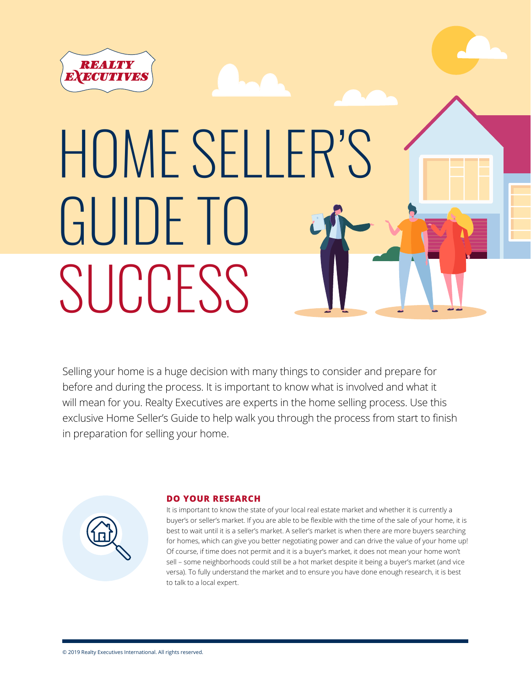

## HOME SELLER'S GUIDE TO **SUCCESS**

Selling your home is a huge decision with many things to consider and prepare for before and during the process. It is important to know what is involved and what it will mean for you. Realty Executives are experts in the home selling process. Use this exclusive Home Seller's Guide to help walk you through the process from start to finish in preparation for selling your home.



### **DO YOUR RESEARCH**

It is important to know the state of your local real estate market and whether it is currently a buyer's or seller's market. If you are able to be flexible with the time of the sale of your home, it is best to wait until it is a seller's market. A seller's market is when there are more buyers searching for homes, which can give you better negotiating power and can drive the value of your home up! Of course, if time does not permit and it is a buyer's market, it does not mean your home won't sell - some neighborhoods could still be a hot market despite it being a buyer's market (and vice versa). To fully understand the market and to ensure you have done enough research, it is best to talk to a local expert.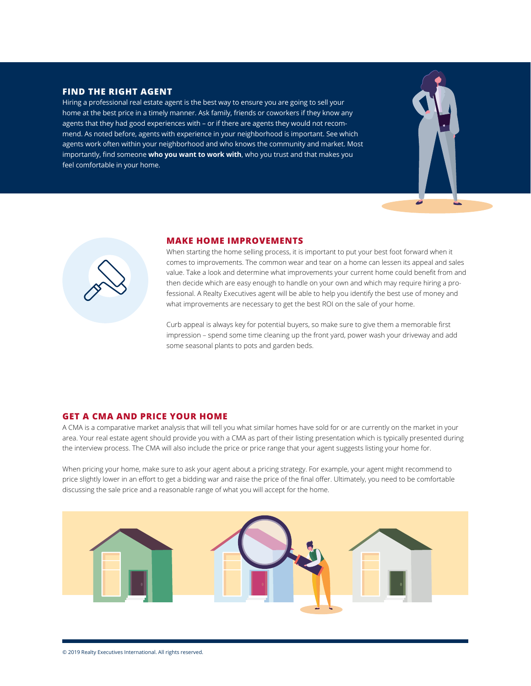### **FIND THE RIGHT AGENT**

Hiring a professional real estate agent is the best way to ensure you are going to sell your home at the best price in a timely manner. Ask family, friends or coworkers if they know any agents that they had good experiences with – or if there are agents they would not recommend. As noted before, agents with experience in your neighborhood is important. See which agents work often within your neighborhood and who knows the community and market. Most importantly, find someone **who you want to work with**, who you trust and that makes you feel comfortable in your home.





### **MAKE HOME IMPROVEMENTS**

When starting the home selling process, it is important to put your best foot forward when it comes to improvements. The common wear and tear on a home can lessen its appeal and sales value. Take a look and determine what improvements your current home could benefit from and then decide which are easy enough to handle on your own and which may require hiring a professional. A Realty Executives agent will be able to help you identify the best use of money and what improvements are necessary to get the best ROI on the sale of your home.

Curb appeal is always key for potential buyers, so make sure to give them a memorable first impression – spend some time cleaning up the front yard, power wash your driveway and add some seasonal plants to pots and garden beds.

### **GET A CMA AND PRICE YOUR HOME**

A CMA is a comparative market analysis that will tell you what similar homes have sold for or are currently on the market in your area. Your real estate agent should provide you with a CMA as part of their listing presentation which is typically presented during the interview process. The CMA will also include the price or price range that your agent suggests listing your home for.

When pricing your home, make sure to ask your agent about a pricing strategy. For example, your agent might recommend to price slightly lower in an effort to get a bidding war and raise the price of the final offer. Ultimately, you need to be comfortable discussing the sale price and a reasonable range of what you will accept for the home.

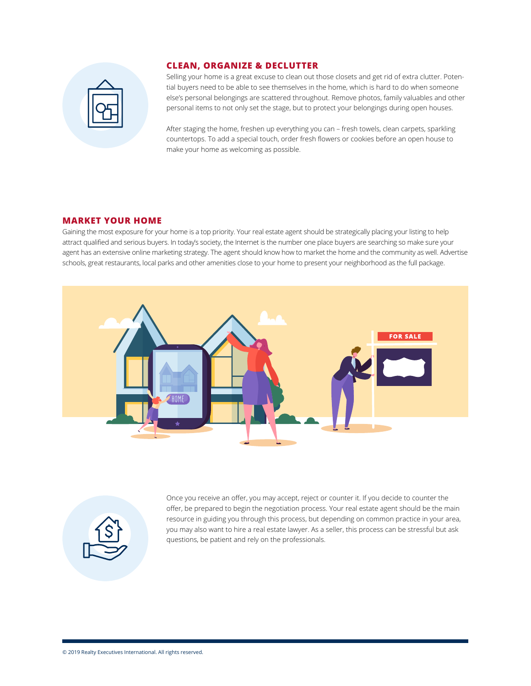

### **CLEAN, ORGANIZE & DECLUTTER**

Selling your home is a great excuse to clean out those closets and get rid of extra clutter. Potential buyers need to be able to see themselves in the home, which is hard to do when someone else's personal belongings are scattered throughout. Remove photos, family valuables and other personal items to not only set the stage, but to protect your belongings during open houses.

After staging the home, freshen up everything you can – fresh towels, clean carpets, sparkling countertops. To add a special touch, order fresh flowers or cookies before an open house to make your home as welcoming as possible.

### **MARKET YOUR HOME**

Gaining the most exposure for your home is a top priority. Your real estate agent should be strategically placing your listing to help attract qualified and serious buyers. In today's society, the Internet is the number one place buyers are searching so make sure your agent has an extensive online marketing strategy. The agent should know how to market the home and the community as well. Advertise schools, great restaurants, local parks and other amenities close to your home to present your neighborhood as the full package.





Once you receive an offer, you may accept, reject or counter it. If you decide to counter the offer, be prepared to begin the negotiation process. Your real estate agent should be the main resource in guiding you through this process, but depending on common practice in your area, you may also want to hire a real estate lawyer. As a seller, this process can be stressful but ask questions, be patient and rely on the professionals.